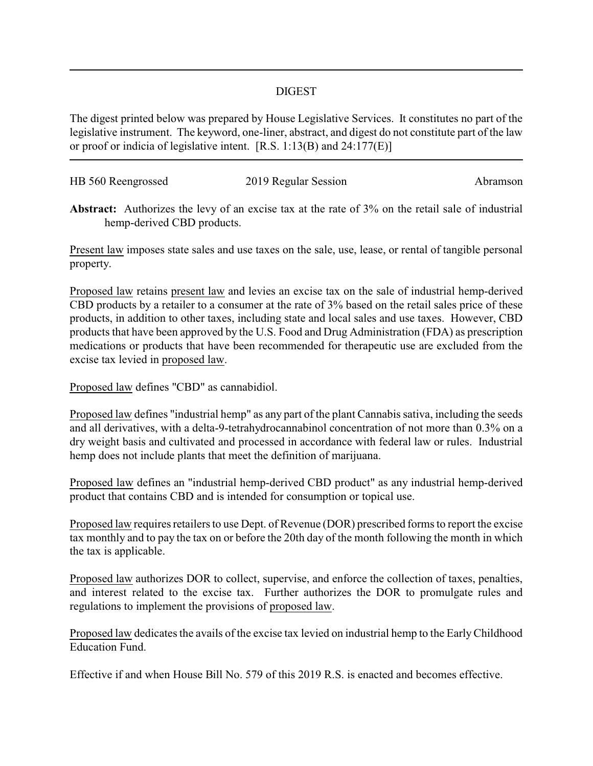## DIGEST

The digest printed below was prepared by House Legislative Services. It constitutes no part of the legislative instrument. The keyword, one-liner, abstract, and digest do not constitute part of the law or proof or indicia of legislative intent. [R.S. 1:13(B) and 24:177(E)]

| HB 560 Reengrossed | 2019 Regular Session | Abramson |
|--------------------|----------------------|----------|
|                    |                      |          |

**Abstract:** Authorizes the levy of an excise tax at the rate of 3% on the retail sale of industrial hemp-derived CBD products.

Present law imposes state sales and use taxes on the sale, use, lease, or rental of tangible personal property.

Proposed law retains present law and levies an excise tax on the sale of industrial hemp-derived CBD products by a retailer to a consumer at the rate of 3% based on the retail sales price of these products, in addition to other taxes, including state and local sales and use taxes. However, CBD products that have been approved by the U.S. Food and Drug Administration (FDA) as prescription medications or products that have been recommended for therapeutic use are excluded from the excise tax levied in proposed law.

Proposed law defines "CBD" as cannabidiol.

Proposed law defines "industrial hemp" as any part of the plant Cannabis sativa, including the seeds and all derivatives, with a delta-9-tetrahydrocannabinol concentration of not more than 0.3% on a dry weight basis and cultivated and processed in accordance with federal law or rules. Industrial hemp does not include plants that meet the definition of marijuana.

Proposed law defines an "industrial hemp-derived CBD product" as any industrial hemp-derived product that contains CBD and is intended for consumption or topical use.

Proposed law requires retailers to use Dept. of Revenue (DOR) prescribed forms to report the excise tax monthly and to pay the tax on or before the 20th day of the month following the month in which the tax is applicable.

Proposed law authorizes DOR to collect, supervise, and enforce the collection of taxes, penalties, and interest related to the excise tax. Further authorizes the DOR to promulgate rules and regulations to implement the provisions of proposed law.

Proposed law dedicates the avails of the excise tax levied on industrial hemp to the EarlyChildhood Education Fund.

Effective if and when House Bill No. 579 of this 2019 R.S. is enacted and becomes effective.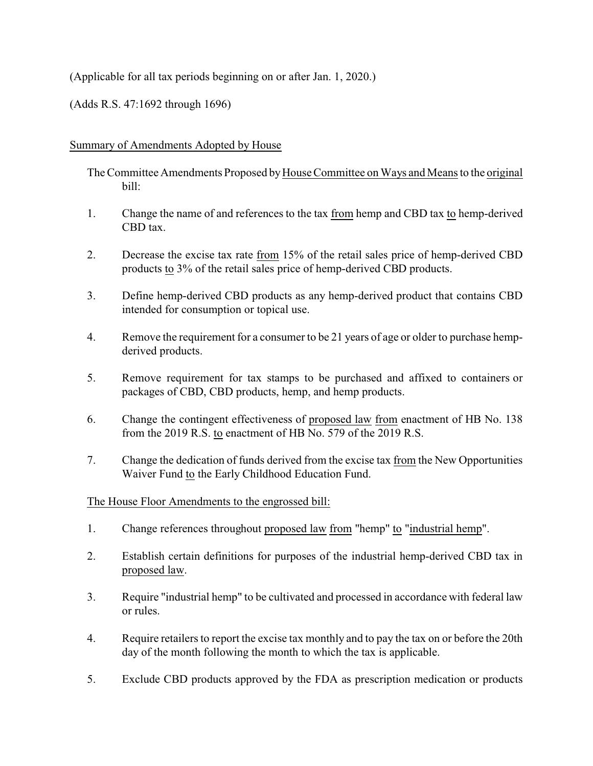## (Applicable for all tax periods beginning on or after Jan. 1, 2020.)

(Adds R.S. 47:1692 through 1696)

## Summary of Amendments Adopted by House

The Committee Amendments Proposed byHouse Committee on Ways and Means to the original bill:

- 1. Change the name of and references to the tax from hemp and CBD tax to hemp-derived CBD tax.
- 2. Decrease the excise tax rate from 15% of the retail sales price of hemp-derived CBD products to 3% of the retail sales price of hemp-derived CBD products.
- 3. Define hemp-derived CBD products as any hemp-derived product that contains CBD intended for consumption or topical use.
- 4. Remove the requirement for a consumer to be 21 years of age or older to purchase hempderived products.
- 5. Remove requirement for tax stamps to be purchased and affixed to containers or packages of CBD, CBD products, hemp, and hemp products.
- 6. Change the contingent effectiveness of proposed law from enactment of HB No. 138 from the 2019 R.S. to enactment of HB No. 579 of the 2019 R.S.
- 7. Change the dedication of funds derived from the excise tax from the New Opportunities Waiver Fund to the Early Childhood Education Fund.

## The House Floor Amendments to the engrossed bill:

- 1. Change references throughout proposed law from "hemp" to "industrial hemp".
- 2. Establish certain definitions for purposes of the industrial hemp-derived CBD tax in proposed law.
- 3. Require "industrial hemp" to be cultivated and processed in accordance with federal law or rules.
- 4. Require retailers to report the excise tax monthly and to pay the tax on or before the 20th day of the month following the month to which the tax is applicable.
- 5. Exclude CBD products approved by the FDA as prescription medication or products